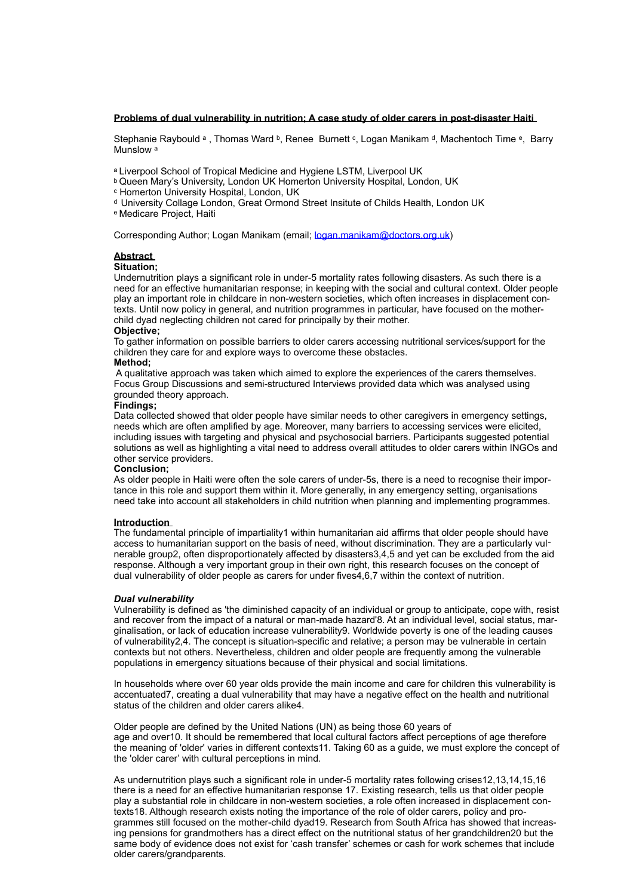### **Problems of dual vulnerability in nutrition; A case study of older carers in post-disaster Haiti**

Stephanie Raybould a, Thomas Ward b, Renee Burnett c, Logan Manikam d, Machentoch Time e, Barry Munslow<sup>a</sup>

a Liverpool School of Tropical Medicine and Hygiene LSTM, Liverpool UK

b Queen Mary's University, London UK Homerton University Hospital, London, UK c Homerton University Hospital, London, UK

d University Collage London, Great Ormond Street Insitute of Childs Health, London UK

e Medicare Project, Haiti

Corresponding Author; Logan Manikam (email; [logan.manikam@doctors.org.uk\)](mailto:logan.manikam@doctors.org.uk)

### **Abstract**

## **Situation;**

Undernutrition plays a significant role in under-5 mortality rates following disasters. As such there is a need for an effective humanitarian response; in keeping with the social and cultural context. Older people play an important role in childcare in non-western societies, which often increases in displacement contexts. Until now policy in general, and nutrition programmes in particular, have focused on the motherchild dyad neglecting children not cared for principally by their mother.

#### **Objective;**

To gather information on possible barriers to older carers accessing nutritional services/support for the children they care for and explore ways to overcome these obstacles.

# **Method;**

 A qualitative approach was taken which aimed to explore the experiences of the carers themselves. Focus Group Discussions and semi-structured Interviews provided data which was analysed using grounded theory approach.

#### **Findings;**

Data collected showed that older people have similar needs to other caregivers in emergency settings, needs which are often amplified by age. Moreover, many barriers to accessing services were elicited, including issues with targeting and physical and psychosocial barriers. Participants suggested potential solutions as well as highlighting a vital need to address overall attitudes to older carers within INGOs and other service providers.

#### **Conclusion;**

As older people in Haiti were often the sole carers of under-5s, there is a need to recognise their importance in this role and support them within it. More generally, in any emergency setting, organisations need take into account all stakeholders in child nutrition when planning and implementing programmes.

#### **Introduction**

The fundamental principle of impartiality1 within humanitarian aid affirms that older people should have access to humanitarian support on the basis of need, without discrimination. They are a particularly vulnerable group2, often disproportionately affected by disasters3,4,5 and yet can be excluded from the aid response. Although a very important group in their own right, this research focuses on the concept of dual vulnerability of older people as carers for under fives4,6,7 within the context of nutrition.

#### *Dual vulnerability*

Vulnerability is defined as 'the diminished capacity of an individual or group to anticipate, cope with, resist and recover from the impact of a natural or man-made hazard'8. At an individual level, social status, marginalisation, or lack of education increase vulnerability9. Worldwide poverty is one of the leading causes of vulnerability2,4. The concept is situation-specific and relative; a person may be vulnerable in certain contexts but not others. Nevertheless, children and older people are frequently among the vulnerable populations in emergency situations because of their physical and social limitations.

In households where over 60 year olds provide the main income and care for children this vulnerability is accentuated7, creating a dual vulnerability that may have a negative effect on the health and nutritional status of the children and older carers alike4.

Older people are defined by the United Nations (UN) as being those 60 years of age and over10. It should be remembered that local cultural factors affect perceptions of age therefore the meaning of 'older' varies in different contexts11. Taking 60 as a guide, we must explore the concept of the 'older carer' with cultural perceptions in mind.

As undernutrition plays such a significant role in under-5 mortality rates following crises12,13,14,15,16 there is a need for an effective humanitarian response 17. Existing research, tells us that older people play a substantial role in childcare in non-western societies, a role often increased in displacement contexts18. Although research exists noting the importance of the role of older carers, policy and programmes still focused on the mother-child dyad19. Research from South Africa has showed that increasing pensions for grandmothers has a direct effect on the nutritional status of her grandchildren20 but the same body of evidence does not exist for 'cash transfer' schemes or cash for work schemes that include older carers/grandparents.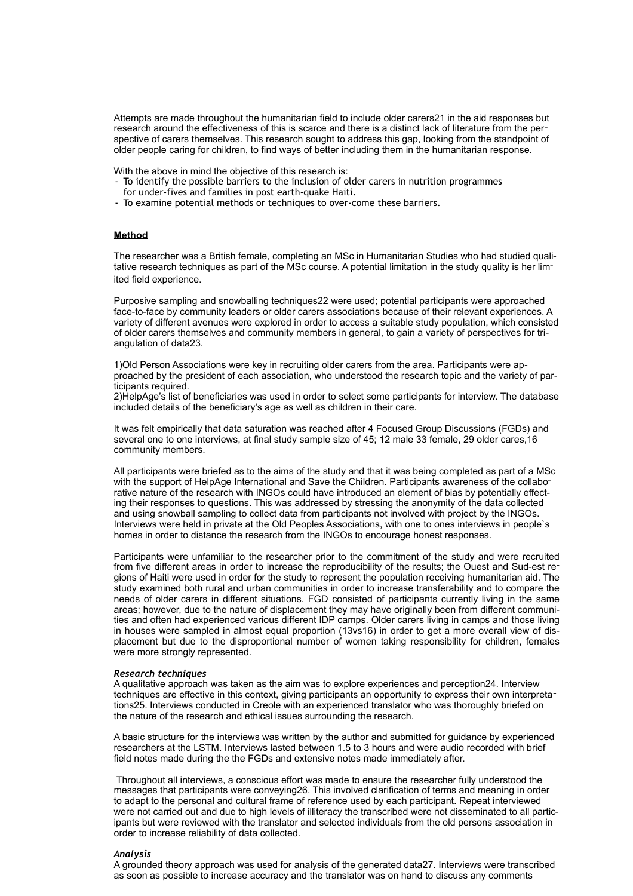Attempts are made throughout the humanitarian field to include older carers21 in the aid responses but research around the effectiveness of this is scarce and there is a distinct lack of literature from the perspective of carers themselves. This research sought to address this gap, looking from the standpoint of older people caring for children, to find ways of better including them in the humanitarian response.

With the above in mind the objective of this research is:

- To identify the possible barriers to the inclusion of older carers in nutrition programmes
- for under-fives and families in post earth-quake Haiti.
- To examine potential methods or techniques to over-come these barriers.

## **Method**

The researcher was a British female, completing an MSc in Humanitarian Studies who had studied qualitative research techniques as part of the MSc course. A potential limitation in the study quality is her limited field experience.

Purposive sampling and snowballing techniques22 were used; potential participants were approached face-to-face by community leaders or older carers associations because of their relevant experiences. A variety of different avenues were explored in order to access a suitable study population, which consisted of older carers themselves and community members in general, to gain a variety of perspectives for triangulation of data23.

1)Old Person Associations were key in recruiting older carers from the area. Participants were approached by the president of each association, who understood the research topic and the variety of participants required.

2)HelpAge's list of beneficiaries was used in order to select some participants for interview. The database included details of the beneficiary's age as well as children in their care.

It was felt empirically that data saturation was reached after 4 Focused Group Discussions (FGDs) and several one to one interviews, at final study sample size of 45; 12 male 33 female, 29 older cares,16 community members.

All participants were briefed as to the aims of the study and that it was being completed as part of a MSc with the support of HelpAge International and Save the Children. Participants awareness of the collaborative nature of the research with INGOs could have introduced an element of bias by potentially effecting their responses to questions. This was addressed by stressing the anonymity of the data collected and using snowball sampling to collect data from participants not involved with project by the INGOs. Interviews were held in private at the Old Peoples Associations, with one to ones interviews in people`s homes in order to distance the research from the INGOs to encourage honest responses.

Participants were unfamiliar to the researcher prior to the commitment of the study and were recruited from five different areas in order to increase the reproducibility of the results; the Ouest and Sud-est regions of Haiti were used in order for the study to represent the population receiving humanitarian aid. The study examined both rural and urban communities in order to increase transferability and to compare the needs of older carers in different situations. FGD consisted of participants currently living in the same areas; however, due to the nature of displacement they may have originally been from different communities and often had experienced various different IDP camps. Older carers living in camps and those living in houses were sampled in almost equal proportion (13vs16) in order to get a more overall view of displacement but due to the disproportional number of women taking responsibility for children, females were more strongly represented.

## *Research techniques*

A qualitative approach was taken as the aim was to explore experiences and perception24. Interview techniques are effective in this context, giving participants an opportunity to express their own interpretations25. Interviews conducted in Creole with an experienced translator who was thoroughly briefed on the nature of the research and ethical issues surrounding the research.

A basic structure for the interviews was written by the author and submitted for guidance by experienced researchers at the LSTM. Interviews lasted between 1.5 to 3 hours and were audio recorded with brief field notes made during the the FGDs and extensive notes made immediately after.

 Throughout all interviews, a conscious effort was made to ensure the researcher fully understood the messages that participants were conveying26. This involved clarification of terms and meaning in order to adapt to the personal and cultural frame of reference used by each participant. Repeat interviewed were not carried out and due to high levels of illiteracy the transcribed were not disseminated to all participants but were reviewed with the translator and selected individuals from the old persons association in order to increase reliability of data collected.

### *Analysis*

A grounded theory approach was used for analysis of the generated data27. Interviews were transcribed as soon as possible to increase accuracy and the translator was on hand to discuss any comments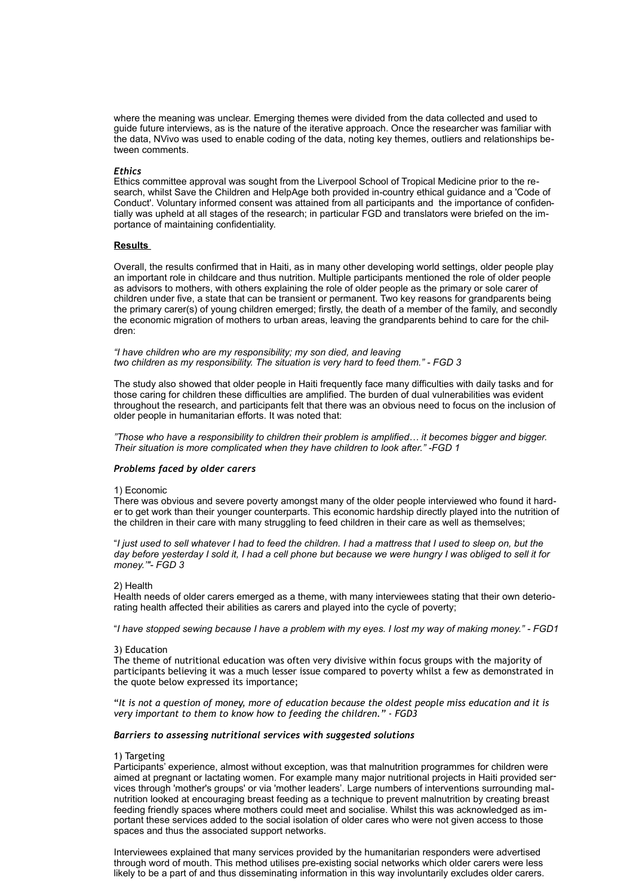where the meaning was unclear. Emerging themes were divided from the data collected and used to guide future interviews, as is the nature of the iterative approach. Once the researcher was familiar with the data, NVivo was used to enable coding of the data, noting key themes, outliers and relationships between comments.

### *Ethics*

Ethics committee approval was sought from the Liverpool School of Tropical Medicine prior to the research, whilst Save the Children and HelpAge both provided in-country ethical guidance and a 'Code of Conduct'. Voluntary informed consent was attained from all participants and the importance of confidentially was upheld at all stages of the research; in particular FGD and translators were briefed on the importance of maintaining confidentiality.

## **Results**

Overall, the results confirmed that in Haiti, as in many other developing world settings, older people play an important role in childcare and thus nutrition. Multiple participants mentioned the role of older people as advisors to mothers, with others explaining the role of older people as the primary or sole carer of children under five, a state that can be transient or permanent. Two key reasons for grandparents being the primary carer(s) of young children emerged; firstly, the death of a member of the family, and secondly the economic migration of mothers to urban areas, leaving the grandparents behind to care for the children:

*"I have children who are my responsibility; my son died, and leaving two children as my responsibility. The situation is very hard to feed them." - FGD 3* 

The study also showed that older people in Haiti frequently face many difficulties with daily tasks and for those caring for children these difficulties are amplified. The burden of dual vulnerabilities was evident throughout the research, and participants felt that there was an obvious need to focus on the inclusion of older people in humanitarian efforts. It was noted that:

*"Those who have a responsibility to children their problem is amplified… it becomes bigger and bigger. Their situation is more complicated when they have children to look after." -FGD 1* 

### *Problems faced by older carers*

### 1) Economic

There was obvious and severe poverty amongst many of the older people interviewed who found it harder to get work than their younger counterparts. This economic hardship directly played into the nutrition of the children in their care with many struggling to feed children in their care as well as themselves;

"*I just used to sell whatever I had to feed the children. I had a mattress that I used to sleep on, but the day before yesterday I sold it, I had a cell phone but because we were hungry I was obliged to sell it for money.'"- FGD 3* 

### 2) Health

Health needs of older carers emerged as a theme, with many interviewees stating that their own deteriorating health affected their abilities as carers and played into the cycle of poverty;

"*I have stopped sewing because I have a problem with my eyes. I lost my way of making money." - FGD1* 

#### 3) Education

The theme of nutritional education was often very divisive within focus groups with the majority of participants believing it was a much lesser issue compared to poverty whilst a few as demonstrated in the quote below expressed its importance;

"*It is not a question of money, more of education because the oldest people miss education and it is very important to them to know how to feeding the children." - FGD3* 

### *Barriers to assessing nutritional services with suggested solutions*

### 1) Targeting

Participants' experience, almost without exception, was that malnutrition programmes for children were aimed at pregnant or lactating women. For example many major nutritional projects in Haiti provided services through 'mother's groups' or via 'mother leaders'. Large numbers of interventions surrounding malnutrition looked at encouraging breast feeding as a technique to prevent malnutrition by creating breast feeding friendly spaces where mothers could meet and socialise. Whilst this was acknowledged as important these services added to the social isolation of older cares who were not given access to those spaces and thus the associated support networks.

Interviewees explained that many services provided by the humanitarian responders were advertised through word of mouth. This method utilises pre-existing social networks which older carers were less likely to be a part of and thus disseminating information in this way involuntarily excludes older carers.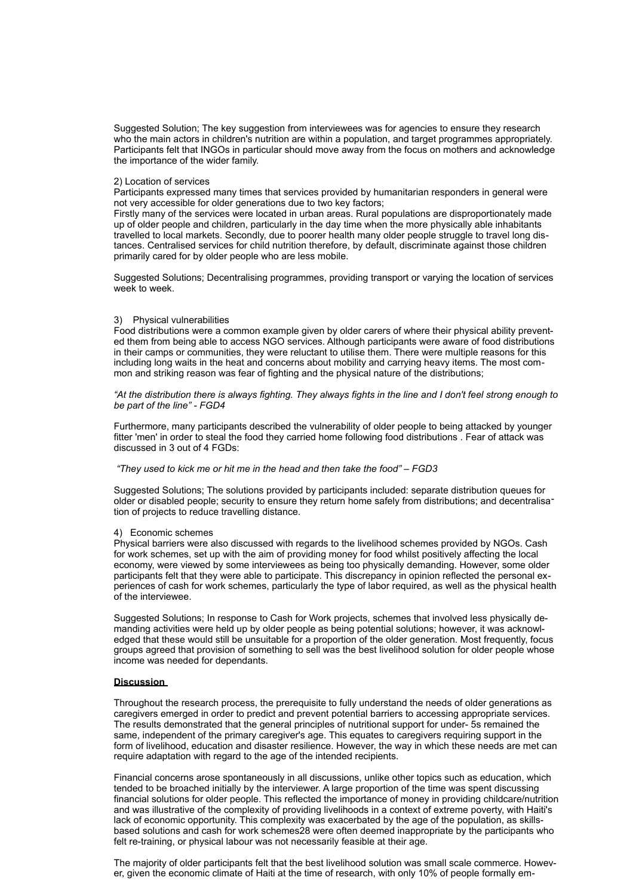Suggested Solution; The key suggestion from interviewees was for agencies to ensure they research who the main actors in children's nutrition are within a population, and target programmes appropriately. Participants felt that INGOs in particular should move away from the focus on mothers and acknowledge the importance of the wider family.

### 2) Location of services

Participants expressed many times that services provided by humanitarian responders in general were not very accessible for older generations due to two key factors;

Firstly many of the services were located in urban areas. Rural populations are disproportionately made up of older people and children, particularly in the day time when the more physically able inhabitants travelled to local markets. Secondly, due to poorer health many older people struggle to travel long distances. Centralised services for child nutrition therefore, by default, discriminate against those children primarily cared for by older people who are less mobile.

Suggested Solutions; Decentralising programmes, providing transport or varying the location of services week to week.

#### 3) Physical vulnerabilities

Food distributions were a common example given by older carers of where their physical ability prevented them from being able to access NGO services. Although participants were aware of food distributions in their camps or communities, they were reluctant to utilise them. There were multiple reasons for this including long waits in the heat and concerns about mobility and carrying heavy items. The most common and striking reason was fear of fighting and the physical nature of the distributions;

*"At the distribution there is always fighting. They always fights in the line and I don't feel strong enough to be part of the line" - FGD4* 

Furthermore, many participants described the vulnerability of older people to being attacked by younger fitter 'men' in order to steal the food they carried home following food distributions . Fear of attack was discussed in 3 out of 4 FGDs:

### *"They used to kick me or hit me in the head and then take the food" – FGD3*

Suggested Solutions; The solutions provided by participants included: separate distribution queues for older or disabled people; security to ensure they return home safely from distributions; and decentralisation of projects to reduce travelling distance.

#### 4) Economic schemes

Physical barriers were also discussed with regards to the livelihood schemes provided by NGOs. Cash for work schemes, set up with the aim of providing money for food whilst positively affecting the local economy, were viewed by some interviewees as being too physically demanding. However, some older participants felt that they were able to participate. This discrepancy in opinion reflected the personal experiences of cash for work schemes, particularly the type of labor required, as well as the physical health of the interviewee.

Suggested Solutions; In response to Cash for Work projects, schemes that involved less physically demanding activities were held up by older people as being potential solutions; however, it was acknowledged that these would still be unsuitable for a proportion of the older generation. Most frequently, focus groups agreed that provision of something to sell was the best livelihood solution for older people whose income was needed for dependants.

#### **Discussion**

Throughout the research process, the prerequisite to fully understand the needs of older generations as caregivers emerged in order to predict and prevent potential barriers to accessing appropriate services. The results demonstrated that the general principles of nutritional support for under- 5s remained the same, independent of the primary caregiver's age. This equates to caregivers requiring support in the form of livelihood, education and disaster resilience. However, the way in which these needs are met can require adaptation with regard to the age of the intended recipients.

Financial concerns arose spontaneously in all discussions, unlike other topics such as education, which tended to be broached initially by the interviewer. A large proportion of the time was spent discussing financial solutions for older people. This reflected the importance of money in providing childcare/nutrition and was illustrative of the complexity of providing livelihoods in a context of extreme poverty, with Haiti's lack of economic opportunity. This complexity was exacerbated by the age of the population, as skillsbased solutions and cash for work schemes28 were often deemed inappropriate by the participants who felt re-training, or physical labour was not necessarily feasible at their age.

The majority of older participants felt that the best livelihood solution was small scale commerce. However, given the economic climate of Haiti at the time of research, with only 10% of people formally em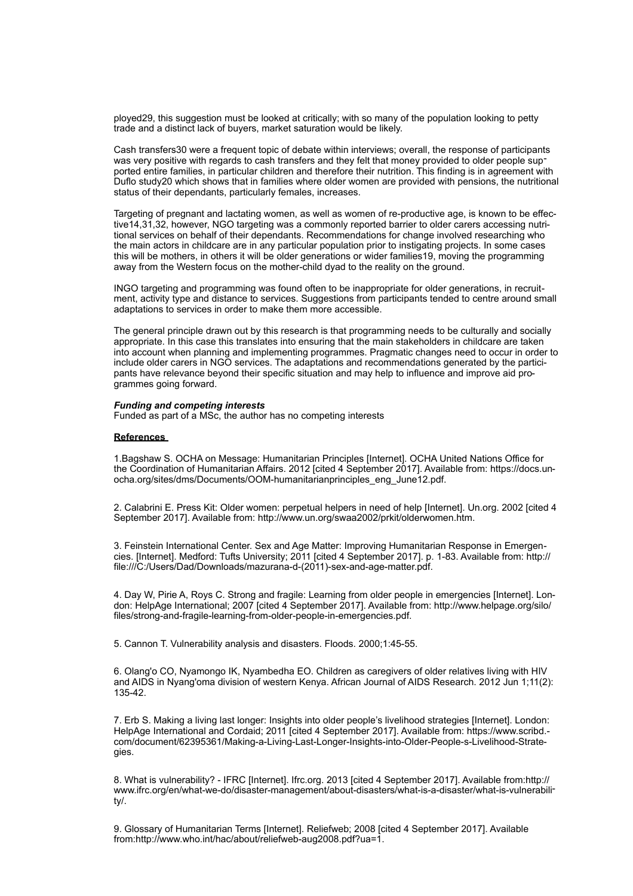ployed29, this suggestion must be looked at critically; with so many of the population looking to petty trade and a distinct lack of buyers, market saturation would be likely.

Cash transfers30 were a frequent topic of debate within interviews; overall, the response of participants was very positive with regards to cash transfers and they felt that money provided to older people supported entire families, in particular children and therefore their nutrition. This finding is in agreement with Duflo study20 which shows that in families where older women are provided with pensions, the nutritional status of their dependants, particularly females, increases.

Targeting of pregnant and lactating women, as well as women of re-productive age, is known to be effective14,31,32, however, NGO targeting was a commonly reported barrier to older carers accessing nutritional services on behalf of their dependants. Recommendations for change involved researching who the main actors in childcare are in any particular population prior to instigating projects. In some cases this will be mothers, in others it will be older generations or wider families19, moving the programming away from the Western focus on the mother-child dyad to the reality on the ground.

INGO targeting and programming was found often to be inappropriate for older generations, in recruitment, activity type and distance to services. Suggestions from participants tended to centre around small adaptations to services in order to make them more accessible.

The general principle drawn out by this research is that programming needs to be culturally and socially appropriate. In this case this translates into ensuring that the main stakeholders in childcare are taken into account when planning and implementing programmes. Pragmatic changes need to occur in order to include older carers in NGO services. The adaptations and recommendations generated by the participants have relevance beyond their specific situation and may help to influence and improve aid programmes going forward.

## *Funding and competing interests*

Funded as part of a MSc, the author has no competing interests

# **References**

1.Bagshaw S. OCHA on Message: Humanitarian Principles [Internet]. OCHA United Nations Office for the Coordination of Humanitarian Affairs. 2012 [cited 4 September 2017]. Available from: [https://docs.un](https://docs.unocha.org/sites/dms/Documents/OOM-humanitarianprinciples_eng_June12.pdf)[ocha.org/sites/dms/Documents/OOM-humanitarianprinciples\\_eng\\_June12.pdf](https://docs.unocha.org/sites/dms/Documents/OOM-humanitarianprinciples_eng_June12.pdf).

2. Calabrini E. Press Kit: Older women: perpetual helpers in need of help [Internet]. Un.org. 2002 [cited 4 September 2017]. Available from:<http://www.un.org/swaa2002/prkit/olderwomen.htm>.

3. Feinstein International Center. Sex and Age Matter: Improving Humanitarian Response in Emergencies. [Internet]. Medford: Tufts University; 2011 [cited 4 September 2017]. p. 1-83. Available from: http:// file:///C:/Users/Dad/Downloads/mazurana-d-(2011)-sex-and-age-matter.pdf.

4. Day W, Pirie A, Roys C. Strong and fragile: Learning from older people in emergencies [Internet]. London: HelpAge International; 2007 [cited 4 September 2017]. Available from: [http://www.helpage.org/silo/](http://www.helpage.org/silo/files/strong-and-fragile-learning-from-older-people-in-emergencies.pdf) [files/strong-and-fragile-learning-from-older-people-in-emergencies.pdf.](http://www.helpage.org/silo/files/strong-and-fragile-learning-from-older-people-in-emergencies.pdf)

5. Cannon T. Vulnerability analysis and disasters. Floods. 2000;1:45-55.

6. Olang'o CO, Nyamongo IK, Nyambedha EO. Children as caregivers of older relatives living with HIV and AIDS in Nyang'oma division of western Kenya. African Journal of AIDS Research. 2012 Jun 1;11(2): 135-42.

7. Erb S. Making a living last longer: Insights into older people's livelihood strategies [Internet]. London: HelpAge International and Cordaid; 2011 [cited 4 September 2017]. Available from: [https://www.scribd.](https://www.scribd.com/document/62395361/Making-a-Living-Last-Longer-Insights-into-Older-People-s-Livelihood-Strategies) [com/document/62395361/Making-a-Living-Last-Longer-Insights-into-Older-People-s-Livelihood-Strate](https://www.scribd.com/document/62395361/Making-a-Living-Last-Longer-Insights-into-Older-People-s-Livelihood-Strategies)[gies.](https://www.scribd.com/document/62395361/Making-a-Living-Last-Longer-Insights-into-Older-People-s-Livelihood-Strategies)

8. What is vulnerability? - IFRC [Internet]. Ifrc.org. 2013 [cited 4 September 2017]. Available from[:http://](http://www.ifrc.org/en/what-we-do/disaster-management/about-disasters/what-is-a-disaster/what-is-vulnerability/) [www.ifrc.org/en/what-we-do/disaster-management/about-disasters/what-is-a-disaster/what-is-vulnerabili](http://www.ifrc.org/en/what-we-do/disaster-management/about-disasters/what-is-a-disaster/what-is-vulnerability/)[ty/](http://www.ifrc.org/en/what-we-do/disaster-management/about-disasters/what-is-a-disaster/what-is-vulnerability/).

9. Glossary of Humanitarian Terms [Internet]. Reliefweb; 2008 [cited 4 September 2017]. Available from:[http://www.who.int/hac/about/reliefweb-aug2008.pdf?ua=1.](http://www.who.int/hac/about/reliefweb-aug2008.pdf?ua=1)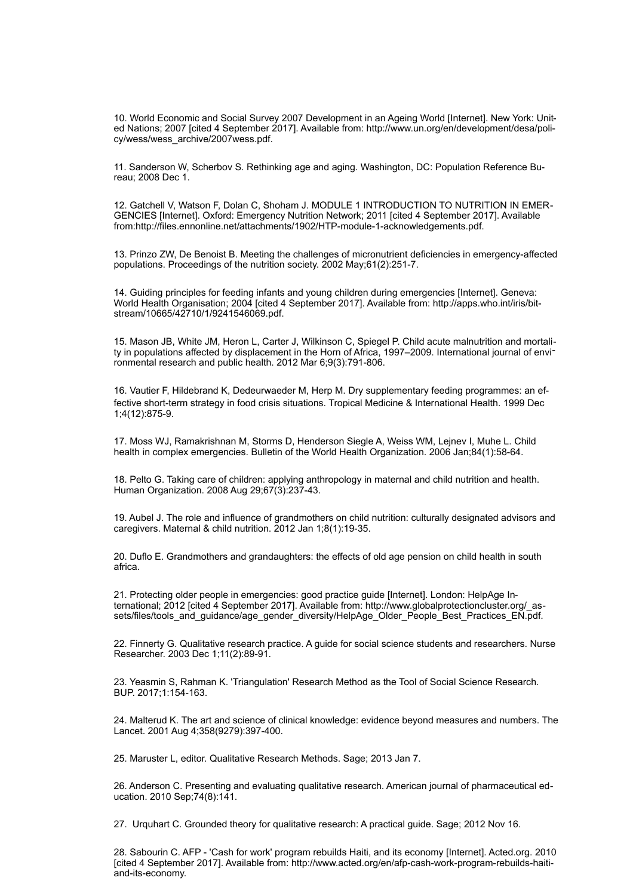10. World Economic and Social Survey 2007 Development in an Ageing World [Internet]. New York: United Nations; 2007 [cited 4 September 2017]. Available from: [http://www.un.org/en/development/desa/poli](http://www.un.org/en/development/desa/policy/wess/wess_archive/2007wess.pdf)[cy/wess/wess\\_archive/2007wess.pdf](http://www.un.org/en/development/desa/policy/wess/wess_archive/2007wess.pdf).

11. Sanderson W, Scherbov S. Rethinking age and aging. Washington, DC: Population Reference Bureau; 2008 Dec 1.

12. Gatchell V, Watson F, Dolan C, Shoham J. MODULE 1 INTRODUCTION TO NUTRITION IN EMER-GENCIES [Internet]. Oxford: Emergency Nutrition Network; 2011 [cited 4 September 2017]. Available from:[http://files.ennonline.net/attachments/1902/HTP-module-1-acknowledgements.pdf.](http://files.ennonline.net/attachments/1902/HTP-module-1-acknowledgements.pdf)

13. Prinzo ZW, De Benoist B. Meeting the challenges of micronutrient deficiencies in emergency-affected populations. Proceedings of the nutrition society. 2002 May;61(2):251-7.

14. Guiding principles for feeding infants and young children during emergencies [Internet]. Geneva: World Health Organisation; 2004 [cited 4 September 2017]. Available from: [http://apps.who.int/iris/bit](http://apps.who.int/iris/bitstream/10665/42710/1/9241546069.pdf)[stream/10665/42710/1/9241546069.pdf.](http://apps.who.int/iris/bitstream/10665/42710/1/9241546069.pdf)

15. Mason JB, White JM, Heron L, Carter J, Wilkinson C, Spiegel P. Child acute malnutrition and mortality in populations affected by displacement in the Horn of Africa, 1997–2009. International journal of environmental research and public health. 2012 Mar 6;9(3):791-806.

16. Vautier F, Hildebrand K, Dedeurwaeder M, Herp M. Dry supplementary feeding programmes: an effective short‐term strategy in food crisis situations. Tropical Medicine & International Health. 1999 Dec 1;4(12):875-9.

17. Moss WJ, Ramakrishnan M, Storms D, Henderson Siegle A, Weiss WM, Lejnev I, Muhe L. Child health in complex emergencies. Bulletin of the World Health Organization. 2006 Jan;84(1):58-64.

18. Pelto G. Taking care of children: applying anthropology in maternal and child nutrition and health. Human Organization. 2008 Aug 29;67(3):237-43.

19. Aubel J. The role and influence of grandmothers on child nutrition: culturally designated advisors and caregivers. Maternal & child nutrition. 2012 Jan 1;8(1):19-35.

20. Duflo E. Grandmothers and grandaughters: the effects of old age pension on child health in south africa.

21. Protecting older people in emergencies: good practice guide [Internet]. London: HelpAge International; 2012 [cited 4 September 2017]. Available from: [http://www.globalprotectioncluster.org/\\_as](http://www.globalprotectioncluster.org/_assets/files/tools_and_guidance/age_gender_diversity/HelpAge_Older_People_Best_Practices_EN.pdf)[sets/files/tools\\_and\\_guidance/age\\_gender\\_diversity/HelpAge\\_Older\\_People\\_Best\\_Practices\\_EN.pdf](http://www.globalprotectioncluster.org/_assets/files/tools_and_guidance/age_gender_diversity/HelpAge_Older_People_Best_Practices_EN.pdf).

22. Finnerty G. Qualitative research practice. A guide for social science students and researchers. Nurse Researcher. 2003 Dec 1;11(2):89-91.

23. Yeasmin S, Rahman K. 'Triangulation' Research Method as the Tool of Social Science Research. BUP. 2017;1:154-163.

24. Malterud K. The art and science of clinical knowledge: evidence beyond measures and numbers. The Lancet. 2001 Aug 4;358(9279):397-400.

25. Maruster L, editor. Qualitative Research Methods. Sage; 2013 Jan 7.

26. Anderson C. Presenting and evaluating qualitative research. American journal of pharmaceutical education. 2010 Sep;74(8):141.

27. Urquhart C. Grounded theory for qualitative research: A practical guide. Sage; 2012 Nov 16.

28. Sabourin C. AFP - 'Cash for work' program rebuilds Haiti, and its economy [Internet]. Acted.org. 2010 [cited 4 September 2017]. Available from: [http://www.acted.org/en/afp-cash-work-program-rebuilds-haiti](http://www.acted.org/en/afp-cash-work-program-rebuilds-haiti-and-its-economy)[and-its-economy.](http://www.acted.org/en/afp-cash-work-program-rebuilds-haiti-and-its-economy)